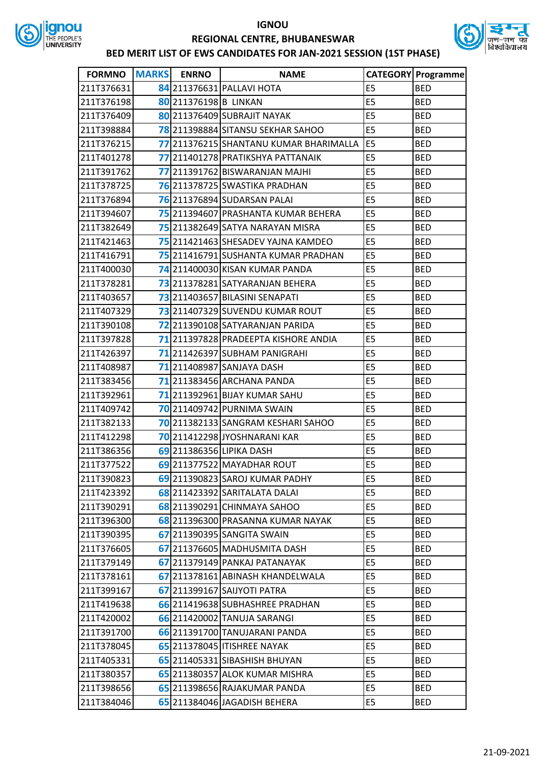



| <b>FORMNO</b> | MARKS ENRNO           | <b>NAME</b>                            |                | <b>CATEGORY Programme</b> |
|---------------|-----------------------|----------------------------------------|----------------|---------------------------|
| 211T376631    |                       | 84 211376631 PALLAVI HOTA              | E <sub>5</sub> | <b>BED</b>                |
| 211T376198    | 80 211376198 B LINKAN |                                        | E5             | <b>BED</b>                |
| 211T376409    |                       | 80 211376409 SUBRAJIT NAYAK            | E <sub>5</sub> | <b>BED</b>                |
| 211T398884    |                       | 78 211398884 SITANSU SEKHAR SAHOO      | E5             | <b>BED</b>                |
| 211T376215    |                       | 77 211376215 SHANTANU KUMAR BHARIMALLA | E <sub>5</sub> | <b>BED</b>                |
| 211T401278    |                       | 77 211401278 PRATIKSHYA PATTANAIK      | E5             | <b>BED</b>                |
| 211T391762    |                       | 77 211391762 BISWARANJAN MAJHI         | E <sub>5</sub> | <b>BED</b>                |
| 211T378725    |                       | 76 211378725 SWASTIKA PRADHAN          | E <sub>5</sub> | <b>BED</b>                |
| 211T376894    |                       | 76 211376894 SUDARSAN PALAI            | E <sub>5</sub> | <b>BED</b>                |
| 211T394607    |                       | 75 211394607 PRASHANTA KUMAR BEHERA    | E5             | <b>BED</b>                |
| 211T382649    |                       | 75 211382649 SATYA NARAYAN MISRA       | E <sub>5</sub> | <b>BED</b>                |
| 211T421463    |                       | 75 211421463 SHESADEV YAJNA KAMDEO     | E5             | <b>BED</b>                |
| 211T416791    |                       | 75 211416791 SUSHANTA KUMAR PRADHAN    | E5             | <b>BED</b>                |
| 211T400030    |                       | 74 211400030 KISAN KUMAR PANDA         | E <sub>5</sub> | <b>BED</b>                |
| 211T378281    |                       | 73 211378281 SATYARANJAN BEHERA        | E <sub>5</sub> | <b>BED</b>                |
| 211T403657    |                       | 73 211403657 BILASINI SENAPATI         | E5             | <b>BED</b>                |
| 211T407329    |                       | 73 211407329 SUVENDU KUMAR ROUT        | E <sub>5</sub> | <b>BED</b>                |
| 211T390108    |                       | 72 211390108 SATYARANJAN PARIDA        | E5             | <b>BED</b>                |
| 211T397828    |                       | 71 211397828 PRADEEPTA KISHORE ANDIA   | E <sub>5</sub> | <b>BED</b>                |
| 211T426397    |                       | 71 211426397 SUBHAM PANIGRAHI          | E5             | <b>BED</b>                |
| 211T408987    |                       | 71 211408987 SANJAYA DASH              | E <sub>5</sub> | <b>BED</b>                |
| 211T383456    |                       | 71 211383456 ARCHANA PANDA             | E <sub>5</sub> | <b>BED</b>                |
| 211T392961    |                       | <b>71</b> 211392961 BIJAY KUMAR SAHU   | E <sub>5</sub> | <b>BED</b>                |
| 211T409742    |                       | 70 211409742 PURNIMA SWAIN             | E <sub>5</sub> | <b>BED</b>                |
| 211T382133    |                       | 70 211382133 SANGRAM KESHARI SAHOO     | E <sub>5</sub> | <b>BED</b>                |
| 211T412298    |                       | 70 211412298 JYOSHNARANI KAR           | E <sub>5</sub> | <b>BED</b>                |
| 211T386356    |                       | 69 211386356 LIPIKA DASH               | E <sub>5</sub> | <b>BED</b>                |
| 211T377522    |                       | 69 211377522 MAYADHAR ROUT             | E <sub>5</sub> | <b>BED</b>                |
| 211T390823    |                       | 69 211390823 SAROJ KUMAR PADHY         | E5             | <b>BED</b>                |
| 211T423392    |                       | 68 211423392 SARITALATA DALAI          | E5             | <b>BED</b>                |
| 211T390291    |                       | 68 211390291 CHINMAYA SAHOO            | E <sub>5</sub> | <b>BED</b>                |
| 211T396300    |                       | 68 211396300 PRASANNA KUMAR NAYAK      | E <sub>5</sub> | <b>BED</b>                |
| 211T390395    |                       | 67 211390395 SANGITA SWAIN             | E <sub>5</sub> | <b>BED</b>                |
| 211T376605    |                       | 67 211376605 MADHUSMITA DASH           | E5             | <b>BED</b>                |
| 211T379149    |                       | 67 211379149 PANKAJ PATANAYAK          | E5             | <b>BED</b>                |
| 211T378161    |                       | 67 211378161 ABINASH KHANDELWALA       | E5             | <b>BED</b>                |
| 211T399167    |                       | 67 211399167 SAIJYOTI PATRA            | E5             | <b>BED</b>                |
| 211T419638    |                       | 66 211419638 SUBHASHREE PRADHAN        | E5             | <b>BED</b>                |
| 211T420002    |                       | 66 211420002 TANUJA SARANGI            | E5             | <b>BED</b>                |
| 211T391700    |                       | 66 211391700 TANUJARANI PANDA          | E <sub>5</sub> | <b>BED</b>                |
| 211T378045    |                       | 65 211378045 ITISHREE NAYAK            | E5             | <b>BED</b>                |
| 211T405331    |                       | 65 211405331 SIBASHISH BHUYAN          | E5             | <b>BED</b>                |
| 211T380357    |                       | 65 211380357 ALOK KUMAR MISHRA         | E5             | <b>BED</b>                |
| 211T398656    |                       | 65 211398656 RAJAKUMAR PANDA           | E5             | <b>BED</b>                |
| 211T384046    |                       | 65 211384046 JAGADISH BEHERA           | E5             | <b>BED</b>                |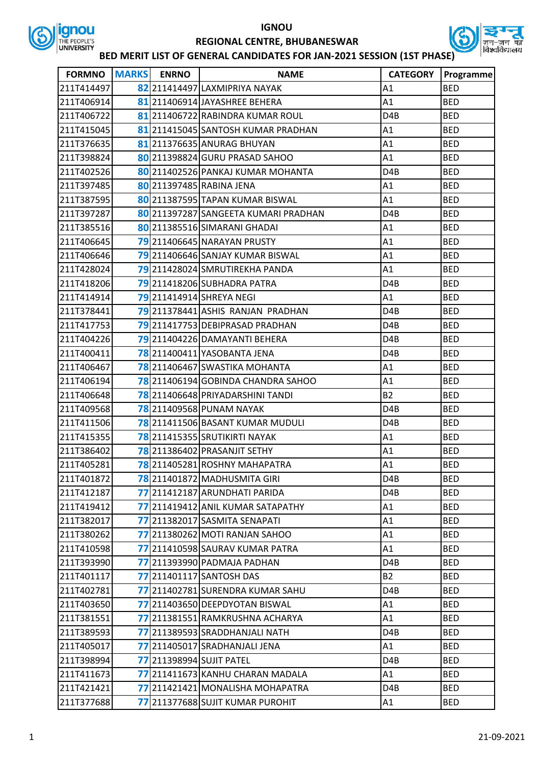



| <b>FORMNO</b> | <b>MARKS</b> | <b>ENRNO</b> | <b>NAME</b>                          | <b>CATEGORY</b>  | Programme  |
|---------------|--------------|--------------|--------------------------------------|------------------|------------|
| 211T414497    |              |              | 82 211414497 LAXMIPRIYA NAYAK        | A1               | <b>BED</b> |
| 211T406914    |              |              | 81 211406914 JAYASHREE BEHERA        | A1               | <b>BED</b> |
| 211T406722    |              |              | 81 211406722 RABINDRA KUMAR ROUL     | D4B              | <b>BED</b> |
| 211T415045    |              |              | 81 211415045 SANTOSH KUMAR PRADHAN   | A1               | <b>BED</b> |
| 211T376635    |              |              | 81 211376635 ANURAG BHUYAN           | A1               | <b>BED</b> |
| 211T398824    |              |              | 80 211398824 GURU PRASAD SAHOO       | A1               | <b>BED</b> |
| 211T402526    |              |              | 80 211402526 PANKAJ KUMAR MOHANTA    | D4B              | <b>BED</b> |
| 211T397485    |              |              | 80 211397485 RABINA JENA             | A1               | <b>BED</b> |
| 211T387595    |              |              | 80 211387595 TAPAN KUMAR BISWAL      | A1               | <b>BED</b> |
| 211T397287    |              |              | 80 211397287 SANGEETA KUMARI PRADHAN | D4B              | <b>BED</b> |
| 211T385516    |              |              | 80 211385516 SIMARANI GHADAI         | A1               | <b>BED</b> |
| 211T406645    |              |              | 79 211406645 NARAYAN PRUSTY          | A1               | <b>BED</b> |
| 211T406646    |              |              | 79211406646 SANJAY KUMAR BISWAL      | A1               | <b>BED</b> |
| 211T428024    |              |              | 79 211428024 SMRUTIREKHA PANDA       | A1               | <b>BED</b> |
| 211T418206    |              |              | 79 211418206 SUBHADRA PATRA          | D4B              | <b>BED</b> |
| 211T414914    |              |              | 79 211414914 SHREYA NEGI             | A1               | <b>BED</b> |
| 211T378441    |              |              | 79 211378441 ASHIS RANJAN PRADHAN    | D <sub>4</sub> B | <b>BED</b> |
| 211T417753    |              |              | 79 211417753 DEBIPRASAD PRADHAN      | D <sub>4</sub> B | <b>BED</b> |
| 211T404226    |              |              | 79 211404226 DAMAYANTI BEHERA        | D4B              | <b>BED</b> |
| 211T400411    |              |              | 78 211400411 YASOBANTA JENA          | D4B              | <b>BED</b> |
| 211T406467    |              |              | 78 211406467 SWASTIKA MOHANTA        | A1               | <b>BED</b> |
| 211T406194    |              |              | 78 211406194 GOBINDA CHANDRA SAHOO   | A1               | <b>BED</b> |
| 211T406648    |              |              | 78 211406648 PRIYADARSHINI TANDI     | <b>B2</b>        | <b>BED</b> |
| 211T409568    |              |              | 78 211409568 PUNAM NAYAK             | D4B              | <b>BED</b> |
| 211T411506    |              |              | 78 211411506 BASANT KUMAR MUDULI     | D <sub>4</sub> B | <b>BED</b> |
| 211T415355    |              |              | 78 211415355 SRUTIKIRTI NAYAK        | A1               | <b>BED</b> |
| 211T386402    |              |              | 78 211386402 PRASANJIT SETHY         | A1               | <b>BED</b> |
| 211T405281    |              |              | 78 211405281 ROSHNY MAHAPATRA        | A1               | <b>BED</b> |
| 211T401872    |              |              | 78 211401872 MADHUSMITA GIRI         | D <sub>4</sub> B | <b>BED</b> |
| 211T412187    |              |              | 77 211412187 ARUNDHATI PARIDA        | D4B              | <b>BED</b> |
| 211T419412    |              |              | 77 211419412 ANIL KUMAR SATAPATHY    | A1               | <b>BED</b> |
| 211T382017    |              |              | 77 211382017 SASMITA SENAPATI        | A1               | <b>BED</b> |
| 211T380262    |              |              | 77 211380262 MOTI RANJAN SAHOO       | Α1               | <b>BED</b> |
| 211T410598    |              |              | 77 211410598 SAURAV KUMAR PATRA      | A1               | <b>BED</b> |
| 211T393990    |              |              | 77 211393990 PADMAJA PADHAN          | D4B              | <b>BED</b> |
| 211T401117    |              |              | <b>77</b> 211401117 SANTOSH DAS      | B2               | <b>BED</b> |
| 211T402781    |              |              | 77 211402781 SURENDRA KUMAR SAHU     | D4B              | <b>BED</b> |
| 211T403650    |              |              | 77 211403650 DEEPDYOTAN BISWAL       | A1               | <b>BED</b> |
| 211T381551    |              |              | 77 211381551 RAMKRUSHNA ACHARYA      | A1               | <b>BED</b> |
| 211T389593    |              |              | 77 211389593 SRADDHANJALI NATH       | D4B              | <b>BED</b> |
| 211T405017    |              |              | 77 211405017 SRADHANJALI JENA        | A1               | <b>BED</b> |
| 211T398994    |              |              | <b>77</b> 211398994 SUJIT PATEL      | D4B              | <b>BED</b> |
| 211T411673    |              |              | 77 211411673 KANHU CHARAN MADALA     | A1               | <b>BED</b> |
| 211T421421    |              |              | 77 211421421 MONALISHA MOHAPATRA     | D4B              | <b>BED</b> |
| 211T377688    |              |              | 77 211377688 SUJIT KUMAR PUROHIT     | A1               | <b>BED</b> |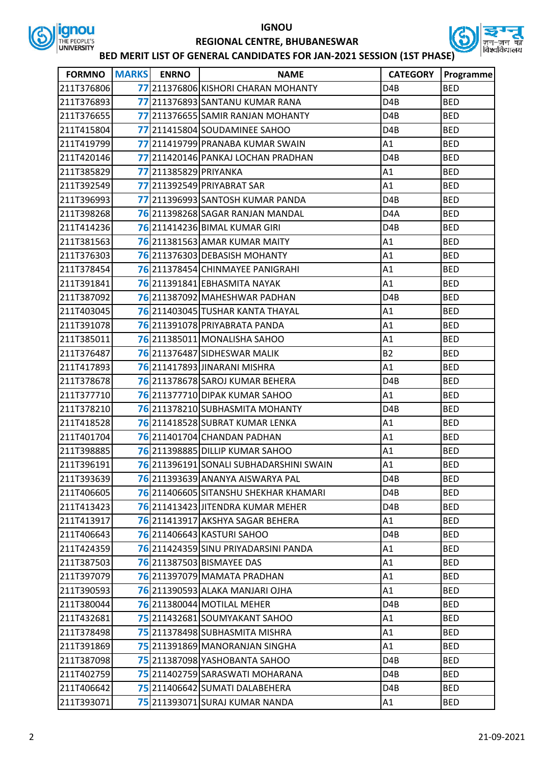



| <b>FORMNO</b> | <b>MARKS</b> | <b>ENRNO</b>          | <b>NAME</b>                             | <b>CATEGORY</b>  | Programme  |
|---------------|--------------|-----------------------|-----------------------------------------|------------------|------------|
| 211T376806    |              |                       | 77 211376806 KISHORI CHARAN MOHANTY     | D <sub>4</sub> B | <b>BED</b> |
| 211T376893    |              |                       | 77 211376893 SANTANU KUMAR RANA         | D <sub>4</sub> B | <b>BED</b> |
| 211T376655    |              |                       | 77 211376655 SAMIR RANJAN MOHANTY       | D <sub>4</sub> B | <b>BED</b> |
| 211T415804    |              |                       | 77 211415804 SOUDAMINEE SAHOO           | D4B              | <b>BED</b> |
| 211T419799    |              |                       | 77 211419799 PRANABA KUMAR SWAIN        | A1               | <b>BED</b> |
| 211T420146    |              |                       | 77 211420146 PANKAJ LOCHAN PRADHAN      | D <sub>4</sub> B | <b>BED</b> |
| 211T385829    |              | 77 211385829 PRIYANKA |                                         | A1               | <b>BED</b> |
| 211T392549    |              |                       | 77 211392549 PRIYABRAT SAR              | A1               | <b>BED</b> |
| 211T396993    |              |                       | 77 211396993 SANTOSH KUMAR PANDA        | D <sub>4</sub> B | <b>BED</b> |
| 211T398268    |              |                       | 76211398268 SAGAR RANJAN MANDAL         | D <sub>4</sub> A | <b>BED</b> |
| 211T414236    |              |                       | 76 211414236 BIMAL KUMAR GIRI           | D <sub>4</sub> B | <b>BED</b> |
| 211T381563    |              |                       | 76 211381563 AMAR KUMAR MAITY           | A1               | <b>BED</b> |
| 211T376303    |              |                       | 76 211376303 DEBASISH MOHANTY           | A1               | <b>BED</b> |
| 211T378454    |              |                       | 76 211378454 CHINMAYEE PANIGRAHI        | A1               | <b>BED</b> |
| 211T391841    |              |                       | 76 211391841 EBHASMITA NAYAK            | A1               | <b>BED</b> |
| 211T387092    |              |                       | 76 211387092 MAHESHWAR PADHAN           | D <sub>4</sub> B | <b>BED</b> |
| 211T403045    |              |                       | <b>76</b> 211403045 TUSHAR KANTA THAYAL | A1               | <b>BED</b> |
| 211T391078    |              |                       | 76 211391078 PRIYABRATA PANDA           | A1               | <b>BED</b> |
| 211T385011    |              |                       | <b>76</b> 211385011 MONALISHA SAHOO     | A1               | <b>BED</b> |
| 211T376487    |              |                       | 76 211376487 SIDHESWAR MALIK            | <b>B2</b>        | <b>BED</b> |
| 211T417893    |              |                       | 76 211417893 JINARANI MISHRA            | A1               | <b>BED</b> |
| 211T378678    |              |                       | 76 211378678 SAROJ KUMAR BEHERA         | D <sub>4</sub> B | <b>BED</b> |
| 211T377710    |              |                       | <b>76</b> 211377710 DIPAK KUMAR SAHOO   | A1               | <b>BED</b> |
| 211T378210    |              |                       | 76211378210 SUBHASMITA MOHANTY          | D <sub>4</sub> B | <b>BED</b> |
| 211T418528    |              |                       | 76 211418528 SUBRAT KUMAR LENKA         | A1               | <b>BED</b> |
| 211T401704    |              |                       | 76 211401704 CHANDAN PADHAN             | A1               | <b>BED</b> |
| 211T398885    |              |                       | <b>76</b> 211398885DILLIP KUMAR SAHOO   | A1               | <b>BED</b> |
| 211T396191    |              |                       | 76 211396191 SONALI SUBHADARSHINI SWAIN | A1               | <b>BED</b> |
| 211T393639    |              |                       | 76 211393639 ANANYA AISWARYA PAL        | D4B              | <b>BED</b> |
| 211T406605    |              |                       | 76 211406605 SITANSHU SHEKHAR KHAMARI   | D <sub>4</sub> B | <b>BED</b> |
| 211T413423    |              |                       | 76 211413423 JITENDRA KUMAR MEHER       | D4B              | <b>BED</b> |
| 211T413917    |              |                       | 76 211413917 AKSHYA SAGAR BEHERA        | A1               | <b>BED</b> |
| 211T406643    |              |                       | <b>76</b> 211406643 KASTURI SAHOO       | D4B              | <b>BED</b> |
| 211T424359    |              |                       | 76 211424359 SINU PRIYADARSINI PANDA    | A1               | <b>BED</b> |
| 211T387503    |              |                       | 76 211387503 BISMAYEE DAS               | A1               | <b>BED</b> |
| 211T397079    |              |                       | 76 211397079 MAMATA PRADHAN             | A1               | <b>BED</b> |
| 211T390593    |              |                       | 76211390593 ALAKA MANJARI OJHA          | A1               | <b>BED</b> |
| 211T380044    |              |                       | <b>76</b> 211380044 MOTILAL MEHER       | D4B              | <b>BED</b> |
| 211T432681    |              |                       | 75 211432681 SOUMYAKANT SAHOO           | A1               | <b>BED</b> |
| 211T378498    |              |                       | 75 211378498 SUBHASMITA MISHRA          | A1               | <b>BED</b> |
| 211T391869    |              |                       | 75 211391869 MANORANJAN SINGHA          | A1               | <b>BED</b> |
| 211T387098    |              |                       | 75 211387098 YASHOBANTA SAHOO           | D4B              | <b>BED</b> |
| 211T402759    |              |                       | 75 211402759 SARASWATI MOHARANA         | D4B              | <b>BED</b> |
| 211T406642    |              |                       | 75 211406642 SUMATI DALABEHERA          | D4B              | <b>BED</b> |
| 211T393071    |              |                       | 75 211393071 SURAJ KUMAR NANDA          | A1               | <b>BED</b> |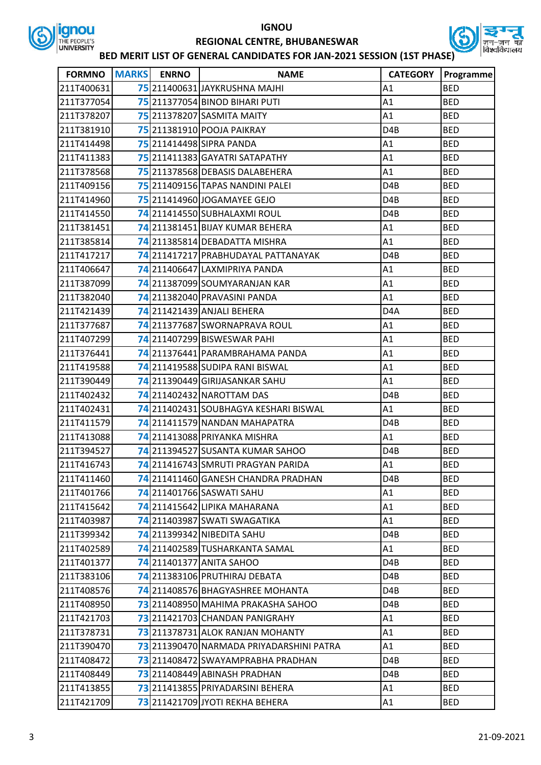



| <b>FORMNO</b> | <b>MARKS</b> | <b>ENRNO</b> | <b>NAME</b>                              | <b>CATEGORY</b>  | Programme  |
|---------------|--------------|--------------|------------------------------------------|------------------|------------|
| 211T400631    |              |              | 75211400631JAYKRUSHNA MAJHI              | A1               | <b>BED</b> |
| 211T377054    |              |              | 75 211377054 BINOD BIHARI PUTI           | A1               | <b>BED</b> |
| 211T378207    |              |              | 75 211378207 SASMITA MAITY               | A1               | <b>BED</b> |
| 211T381910    |              |              | 75 211381910 POOJA PAIKRAY               | D <sub>4</sub> B | <b>BED</b> |
| 211T414498    |              |              | 75 211414498 SIPRA PANDA                 | A1               | <b>BED</b> |
| 211T411383    |              |              | 75 211411383 GAYATRI SATAPATHY           | A1               | <b>BED</b> |
| 211T378568    |              |              | 75 211378568 DEBASIS DALABEHERA          | A1               | <b>BED</b> |
| 211T409156    |              |              | 75 211409156 TAPAS NANDINI PALEI         | D <sub>4</sub> B | <b>BED</b> |
| 211T414960    |              |              | 75 211414960 JOGAMAYEE GEJO              | D <sub>4</sub> B | <b>BED</b> |
| 211T414550    |              |              | 74 211414550 SUBHALAXMI ROUL             | D4B              | <b>BED</b> |
| 211T381451    |              |              | 74 211381451 BIJAY KUMAR BEHERA          | A1               | <b>BED</b> |
| 211T385814    |              |              | 74 211385814 DEBADATTA MISHRA            | A1               | <b>BED</b> |
| 211T417217    |              |              | 74 211417217 PRABHUDAYAL PATTANAYAK      | D4B              | <b>BED</b> |
| 211T406647    |              |              | 74 211406647 LAXMIPRIYA PANDA            | A1               | <b>BED</b> |
| 211T387099    |              |              | 74 211387099 SOUMYARANJAN KAR            | A1               | <b>BED</b> |
| 211T382040    |              |              | 74 211382040 PRAVASINI PANDA             | A1               | <b>BED</b> |
| 211T421439    |              |              | 74 211421439 ANJALI BEHERA               | D <sub>4</sub> A | <b>BED</b> |
| 211T377687    |              |              | 74211377687 SWORNAPRAVA ROUL             | A1               | <b>BED</b> |
| 211T407299    |              |              | 74 211407299 BISWESWAR PAHI              | A1               | <b>BED</b> |
| 211T376441    |              |              | 74 211376441 PARAMBRAHAMA PANDA          | A1               | <b>BED</b> |
| 211T419588    |              |              | 74 211419588 SUDIPA RANI BISWAL          | A1               | <b>BED</b> |
| 211T390449    |              |              | 74 211390449 GIRIJASANKAR SAHU           | A1               | <b>BED</b> |
| 211T402432    |              |              | 74 211402432 NAROTTAM DAS                | D <sub>4</sub> B | <b>BED</b> |
| 211T402431    |              |              | 74 211402431 SOUBHAGYA KESHARI BISWAL    | A1               | <b>BED</b> |
| 211T411579    |              |              | 74 211411579 NANDAN MAHAPATRA            | D <sub>4</sub> B | <b>BED</b> |
| 211T413088    |              |              | 74 211413088 PRIYANKA MISHRA             | A1               | <b>BED</b> |
| 211T394527    |              |              | 74 211394527 SUSANTA KUMAR SAHOO         | D <sub>4</sub> B | <b>BED</b> |
| 211T416743    |              |              | 74 211416743 SMRUTI PRAGYAN PARIDA       | A1               | <b>BED</b> |
| 211T411460    |              |              | 74 211411460 GANESH CHANDRA PRADHAN      | D4B              | <b>BED</b> |
| 211T401766    |              |              | 74 211401766 SASWATI SAHU                | A1               | <b>BED</b> |
| 211T415642    |              |              | 74 211415642 LIPIKA MAHARANA             | A1               | <b>BED</b> |
| 211T403987    |              |              | 74 211403987 SWATI SWAGATIKA             | A1               | <b>BED</b> |
| 211T399342    |              |              | <b>74</b> 211399342 NIBEDITA SAHU        | D4B              | BED        |
| 211T402589    |              |              | 74 211402589 TUSHARKANTA SAMAL           | A1               | <b>BED</b> |
| 211T401377    |              |              | <b>74</b> 211401377 ANITA SAHOO          | D4B              | <b>BED</b> |
| 211T383106    |              |              | 74 211383106 PRUTHIRAJ DEBATA            | D4B              | <b>BED</b> |
| 211T408576    |              |              | 74 211408576 BHAGYASHREE MOHANTA         | D <sub>4</sub> B | <b>BED</b> |
| 211T408950    |              |              | 73 211408950 MAHIMA PRAKASHA SAHOO       | D4B              | <b>BED</b> |
| 211T421703    |              |              | 73 211421703 CHANDAN PANIGRAHY           | A1               | <b>BED</b> |
| 211T378731    |              |              | 73 211378731 ALOK RANJAN MOHANTY         | A1               | BED        |
| 211T390470    |              |              | 73 211390470 NARMADA PRIYADARSHINI PATRA | A1               | <b>BED</b> |
| 211T408472    |              |              | 73211408472 SWAYAMPRABHA PRADHAN         | D4B              | <b>BED</b> |
| 211T408449    |              |              | 73 211408449 ABINASH PRADHAN             | D4B              | <b>BED</b> |
| 211T413855    |              |              | 73 211413855 PRIYADARSINI BEHERA         | A1               | <b>BED</b> |
| 211T421709    |              |              | 73 211421709 JYOTI REKHA BEHERA          | A1               | BED        |
|               |              |              |                                          |                  |            |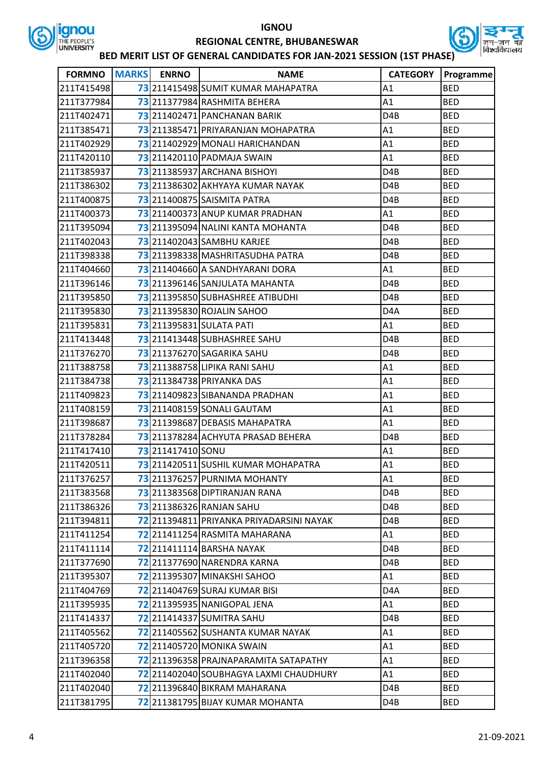



| <b>FORMNO</b> | <b>MARKS</b> | <b>ENRNO</b>      | <b>NAME</b>                                   | <b>CATEGORY</b>  | Programme  |
|---------------|--------------|-------------------|-----------------------------------------------|------------------|------------|
| 211T415498    |              |                   | 73 211415498 SUMIT KUMAR MAHAPATRA            | A1               | <b>BED</b> |
| 211T377984    |              |                   | 73 211377984 RASHMITA BEHERA                  | A1               | <b>BED</b> |
| 211T402471    |              |                   | 73 211402471 PANCHANAN BARIK                  | D <sub>4</sub> B | <b>BED</b> |
| 211T385471    |              |                   | 73211385471 PRIYARANJAN MOHAPATRA             | A1               | <b>BED</b> |
| 211T402929    |              |                   | 73 211402929 MONALI HARICHANDAN               | A1               | <b>BED</b> |
| 211T420110    |              |                   | 73 211420110 PADMAJA SWAIN                    | A1               | <b>BED</b> |
| 211T385937    |              |                   | 73 211385937 ARCHANA BISHOYI                  | D <sub>4</sub> B | <b>BED</b> |
| 211T386302    |              |                   | 73211386302 AKHYAYA KUMAR NAYAK               | D <sub>4</sub> B | <b>BED</b> |
| 211T400875    |              |                   | <b>73</b> 211400875 SAISMITA PATRA            | D <sub>4</sub> B | <b>BED</b> |
| 211T400373    |              |                   | 73 211400373 ANUP KUMAR PRADHAN               | A1               | <b>BED</b> |
| 211T395094    |              |                   | 73 211395094 NALINI KANTA MOHANTA             | D <sub>4</sub> B | <b>BED</b> |
| 211T402043    |              |                   | 73 211402043 SAMBHU KARJEE                    | D <sub>4</sub> B | <b>BED</b> |
| 211T398338    |              |                   | 73211398338 MASHRITASUDHA PATRA               | D <sub>4</sub> B | <b>BED</b> |
| 211T404660    |              |                   | 73 211404660 A SANDHYARANI DORA               | A1               | <b>BED</b> |
| 211T396146    |              |                   | 73 211396146 SANJULATA MAHANTA                | D <sub>4</sub> B | <b>BED</b> |
| 211T395850    |              |                   | 73211395850 SUBHASHREE ATIBUDHI               | D <sub>4</sub> B | <b>BED</b> |
| 211T395830    |              |                   | 73 211395830 ROJALIN SAHOO                    | D <sub>4</sub> A | <b>BED</b> |
| 211T395831    |              |                   | <b>73</b> 211395831 SULATA PATI               | A1               | <b>BED</b> |
| 211T413448    |              |                   | 73 211413448 SUBHASHREE SAHU                  | D <sub>4</sub> B | <b>BED</b> |
| 211T376270    |              |                   | 73 211376270 SAGARIKA SAHU                    | D4B              | <b>BED</b> |
| 211T388758    |              |                   | 73 211388758 LIPIKA RANI SAHU                 | A1               | <b>BED</b> |
| 211T384738    |              |                   | 73 211384738 PRIYANKA DAS                     | A1               | <b>BED</b> |
| 211T409823    |              |                   | 73 211409823 SIBANANDA PRADHAN                | A1               | <b>BED</b> |
| 211T408159    |              |                   | 73 211408159 SONALI GAUTAM                    | A1               | <b>BED</b> |
| 211T398687    |              |                   | 73 211398687 DEBASIS MAHAPATRA                | A1               | <b>BED</b> |
| 211T378284    |              |                   | 73 211378284 ACHYUTA PRASAD BEHERA            | D <sub>4</sub> B | <b>BED</b> |
| 211T417410    |              | 73 211417410 SONU |                                               | A1               | <b>BED</b> |
| 211T420511    |              |                   | 73 211420511 SUSHIL KUMAR MOHAPATRA           | A1               | <b>BED</b> |
| 211T376257    |              |                   | 73 211376257 PURNIMA MOHANTY                  | A1               | <b>BED</b> |
| 211T383568    |              |                   | 73 211383568 DIPTIRANJAN RANA                 | D <sub>4</sub> B | <b>BED</b> |
| 211T386326    |              |                   | 73 211386326 RANJAN SAHU                      | D4B              | <b>BED</b> |
| 211T394811    |              |                   | 72 211394811 PRIYANKA PRIYADARSINI NAYAK      | D4B              | <b>BED</b> |
| 211T411254    |              |                   | 72 211411254 RASMITA MAHARANA                 | A1               | <b>BED</b> |
| 211T411114    |              |                   | <b>72</b> 211411114 BARSHA NAYAK              | D <sub>4</sub> B | <b>BED</b> |
| 211T377690    |              |                   | 72 211377690 NARENDRA KARNA                   | D4B              | <b>BED</b> |
| 211T395307    |              |                   | <b>72</b> 211395307 MINAKSHI SAHOO            | A1               | <b>BED</b> |
| 211T404769    |              |                   | 72 211404769 SURAJ KUMAR BISI                 | D4A              | <b>BED</b> |
| 211T395935    |              |                   | 72 211395935 NANIGOPAL JENA                   | A1               | <b>BED</b> |
| 211T414337    |              |                   | <b>72</b> 211414337 SUMITRA SAHU              | D4B              | <b>BED</b> |
| 211T405562    |              |                   | 72 211405562 SUSHANTA KUMAR NAYAK             | A1               | <b>BED</b> |
| 211T405720    |              |                   | <b>72</b> 211405720 MONIKA SWAIN              | A1               | <b>BED</b> |
| 211T396358    |              |                   | 72 211396358 PRAJNAPARAMITA SATAPATHY         | A1               | <b>BED</b> |
| 211T402040    |              |                   | <b>72</b> 211402040 SOUBHAGYA LAXMI CHAUDHURY | A1               | <b>BED</b> |
| 211T402040    |              |                   | 72 211396840 BIKRAM MAHARANA                  | D4B              | <b>BED</b> |
| 211T381795    |              |                   | 72 211381795 BIJAY KUMAR MOHANTA              | D4B              | <b>BED</b> |